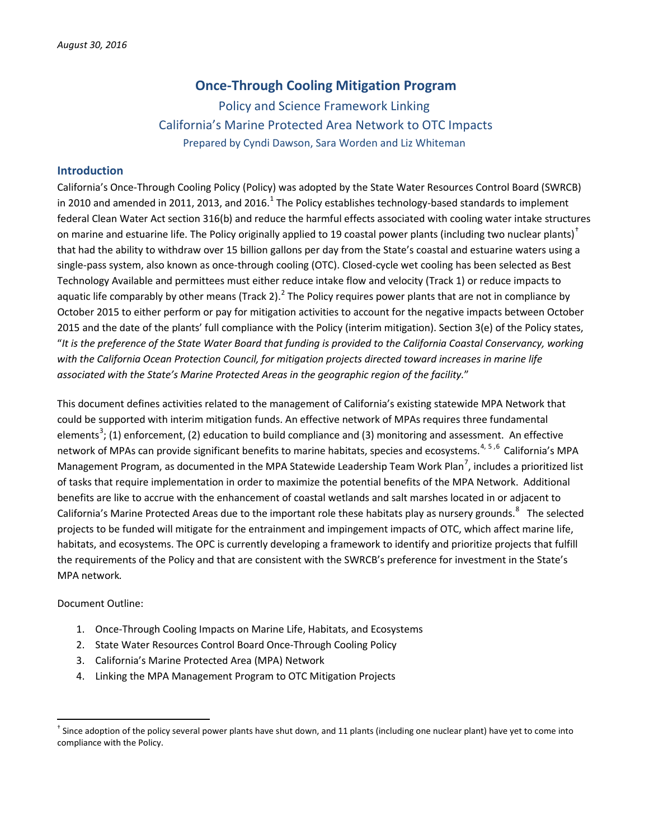# <span id="page-0-1"></span>**Once-Through Cooling Mitigation Program**

Policy and Science Framework Linking California's Marine Protected Area Network to OTC Impacts Prepared by Cyndi Dawson, Sara Worden and Liz Whiteman

#### **Introduction**

California's Once-Through Cooling Policy (Policy) was adopted by the State Water Resources Control Board (SWRCB) in 20[1](#page-5-0)0 and amended in 2011, 2013, and 2016.<sup>1</sup> The Policy establishes technology-based standards to implement federal Clean Water Act section 316(b) and reduce the harmful effects associated with cooling water intake structures on marine and estuarine life. The Policy originally applied to 19 coastal power plants (including two nuclear plants)<sup>[†](#page-0-0)</sup> that had the ability to withdraw over 15 billion gallons per day from the State's coastal and estuarine waters using a single-pass system, also known as once-through cooling (OTC). Closed-cycle wet cooling has been selected as Best Technology Available and permittees must either reduce intake flow and velocity (Track 1) or reduce impacts to aquatic life comparably by other means (Track [2](#page-5-1)).<sup>2</sup> The Policy requires power plants that are not in compliance by October 2015 to either perform or pay for mitigation activities to account for the negative impacts between October 2015 and the date of the plants' full compliance with the Policy (interim mitigation). Section 3(e) of the Policy states, "*It is the preference of the State Water Board that funding is provided to the California Coastal Conservancy, working with the California Ocean Protection Council, for mitigation projects directed toward increases in marine life associated with the State's Marine Protected Areas in the geographic region of the facility.*"

This document defines activities related to the management of California's existing statewide MPA Network that could be supported with interim mitigation funds. An effective network of MPAs requires three fundamental elements<sup>[3](#page-5-2)</sup>; (1) enforcement, (2) education to build compliance and (3) monitoring and assessment. An effective network of MPAs can provide significant benefits to marine habitats, species and ecosystems.<sup>[4,](#page-5-3) [5](#page-5-4),[6](#page-5-5)</sup> California's MPA Management Program, as documented in the MPA Statewide Leadership Team Work Plan<sup>[7](#page-5-6)</sup>, includes a prioritized list of tasks that require implementation in order to maximize the potential benefits of the MPA Network. Additional benefits are like to accrue with the enhancement of coastal wetlands and salt marshes located in or adjacent to California's Marine Protected Areas due to the important role these habitats play as nursery grounds.<sup>[8](#page-5-7)</sup> The selected projects to be funded will mitigate for the entrainment and impingement impacts of OTC, which affect marine life, habitats, and ecosystems. The OPC is currently developing a framework to identify and prioritize projects that fulfill the requirements of the Policy and that are consistent with the SWRCB's preference for investment in the State's MPA network*.*

Document Outline:

- 1. Once-Through Cooling Impacts on Marine Life, Habitats, and Ecosystems
- 2. State Water Resources Control Board Once-Through Cooling Policy
- 3. California's Marine Protected Area (MPA) Network
- 4. Linking the MPA Management Program to OTC Mitigation Projects

<span id="page-0-0"></span><sup>&</sup>lt;sup>†</sup> Since adoption of the policy several power plants have shut down, and 11 plants (including one nuclear plant) have yet to come into compliance with the Policy.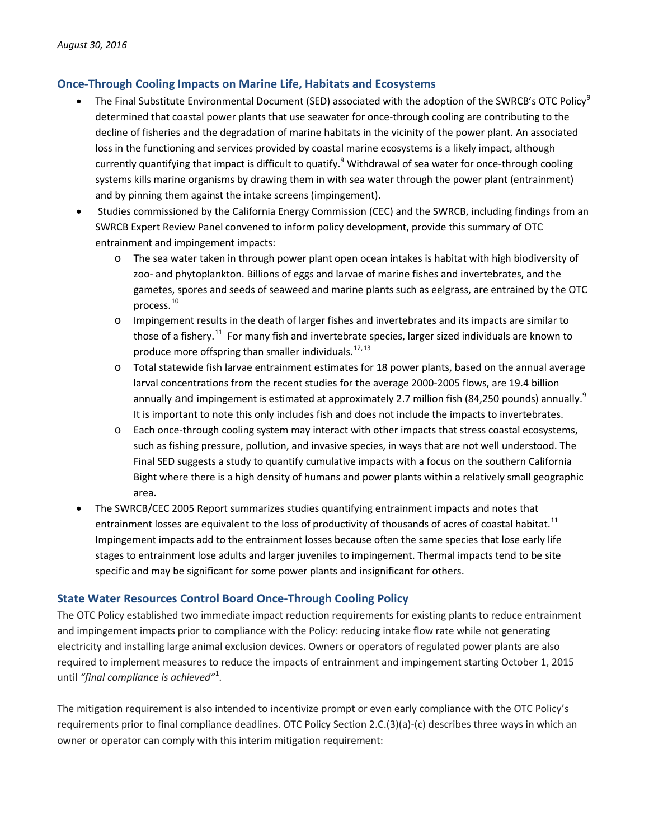# **Once-Through Cooling Impacts on Marine Life, Habitats and Ecosystems**

- <span id="page-1-0"></span>The Final Substitute Environmental Document (SED) associated with the adoption of the SWRCB's OTC Policy<sup>[9](#page-6-0)</sup> determined that coastal power plants that use seawater for once-through cooling are contributing to the decline of fisheries and the degradation of marine habitats in the vicinity of the power plant. An associated loss in the functioning and services provided by coastal marine ecosystems is a likely impact, although currently quantifying that impact is difficult to quatify[.](#page-1-0)<sup>9</sup> Withdrawal of sea water for once-through cooling systems kills marine organisms by drawing them in with sea water through the power plant (entrainment) and by pinning them against the intake screens (impingement).
- <span id="page-1-1"></span>• Studies commissioned by the California Energy Commission (CEC) and the SWRCB, including findings from an SWRCB Expert Review Panel convened to inform policy development, provide this summary of OTC entrainment and impingement impacts:
	- o The sea water taken in through power plant open ocean intakes is habitat with high biodiversity of zoo- and phytoplankton. Billions of eggs and larvae of marine fishes and invertebrates, and the gametes, spores and seeds of seaweed and marine plants such as eelgrass, are entrained by the OTC process. [10](#page-6-1)
	- o Impingement results in the death of larger fishes and invertebrates and its impacts are similar to those of a fishery.<sup>[11](#page-6-2)</sup> For many fish and invertebrate species, larger sized individuals are known to produce more offspring than smaller individuals.<sup>[12,](#page-6-3)[13](#page-6-4)</sup>
	- o Total statewide fish larvae entrainment estimates for 18 power plants, based on the annual average larval concentrations from the recent studies for the average 2000-2005 flows, are 19.4 billion annually and impingement is estimated at approximately 2.7 million fish (84,250 pounds) annuall[y.](#page-1-0)<sup>9</sup> It is important to note this only includes fish and does not include the impacts to invertebrates.
	- o Each once-through cooling system may interact with other impacts that stress coastal ecosystems, such as fishing pressure, pollution, and invasive species, in ways that are not well understood. The Final SED suggests a study to quantify cumulative impacts with a focus on the southern California Bight where there is a high density of humans and power plants within a relatively small geographic area.
- The SWRCB/CEC 2005 Report summarizes studies quantifying entrainment impacts and notes that entrainment losses are equivalent to the loss of productivity of thousands of acres of coastal habitat.<sup>[11](#page-1-1)</sup> Impingement impacts add to the entrainment losses because often the same species that lose early life stages to entrainment lose adults and larger juveniles to impingement. Thermal impacts tend to be site specific and may be significant for some power plants and insignificant for others.

#### **State Water Resources Control Board Once-Through Cooling Policy**

The OTC Policy established two immediate impact reduction requirements for existing plants to reduce entrainment and impingement impacts prior to compliance with the Policy: reducing intake flow rate while not generating electricity and installing large animal exclusion devices. Owners or operators of regulated power plants are also required to implement measures to reduce the impacts of entrainment and impingement starting October 1, 2015 until *"final compliance is achieved"* 1 [.](#page-0-1)

The mitigation requirement is also intended to incentivize prompt or even early compliance with the OTC Policy's requirements prior to final compliance deadlines. OTC Policy Section 2.C.(3)(a)-(c) describes three ways in which an owner or operator can comply with this interim mitigation requirement: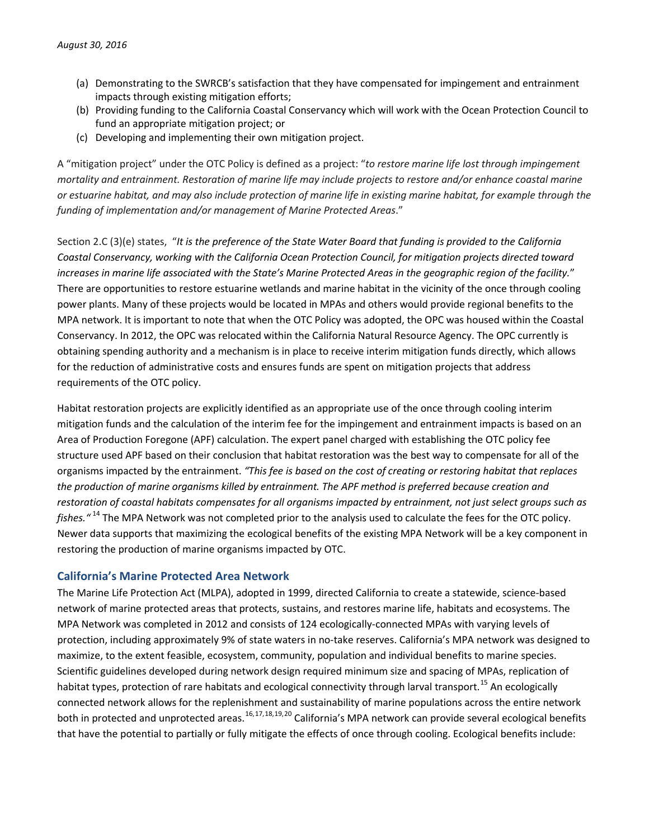- (a) Demonstrating to the SWRCB's satisfaction that they have compensated for impingement and entrainment impacts through existing mitigation efforts;
- (b) Providing funding to the California Coastal Conservancy which will work with the Ocean Protection Council to fund an appropriate mitigation project; or
- (c) Developing and implementing their own mitigation project.

A "mitigation project" under the OTC Policy is defined as a project: "*to restore marine life lost through impingement mortality and entrainment. Restoration of marine life may include projects to restore and/or enhance coastal marine or estuarine habitat, and may also include protection of marine life in existing marine habitat, for example through the funding of implementation and/or management of Marine Protected Areas*."

Section 2.C (3)(e) states, "*It is the preference of the State Water Board that funding is provided to the California Coastal Conservancy, working with the California Ocean Protection Council, for mitigation projects directed toward increases in marine life associated with the State's Marine Protected Areas in the geographic region of the facility.*" There are opportunities to restore estuarine wetlands and marine habitat in the vicinity of the once through cooling power plants. Many of these projects would be located in MPAs and others would provide regional benefits to the MPA network. It is important to note that when the OTC Policy was adopted, the OPC was housed within the Coastal Conservancy. In 2012, the OPC was relocated within the California Natural Resource Agency. The OPC currently is obtaining spending authority and a mechanism is in place to receive interim mitigation funds directly, which allows for the reduction of administrative costs and ensures funds are spent on mitigation projects that address requirements of the OTC policy.

Habitat restoration projects are explicitly identified as an appropriate use of the once through cooling interim mitigation funds and the calculation of the interim fee for the impingement and entrainment impacts is based on an Area of Production Foregone (APF) calculation. The expert panel charged with establishing the OTC policy fee structure used APF based on their conclusion that habitat restoration was the best way to compensate for all of the organisms impacted by the entrainment. *"This fee is based on the cost of creating or restoring habitat that replaces the production of marine organisms killed by entrainment. The APF method is preferred because creation and restoration of coastal habitats compensates for all organisms impacted by entrainment, not just select groups such as fishes."* [14](#page-6-5) The MPA Network was not completed prior to the analysis used to calculate the fees for the OTC policy. Newer data supports that maximizing the ecological benefits of the existing MPA Network will be a key component in restoring the production of marine organisms impacted by OTC.

#### **California's Marine Protected Area Network**

<span id="page-2-0"></span>The Marine Life Protection Act (MLPA), adopted in 1999, directed California to create a statewide, science-based network of marine protected areas that protects, sustains, and restores marine life, habitats and ecosystems. The MPA Network was completed in 2012 and consists of 124 ecologically-connected MPAs with varying levels of protection, including approximately 9% of state waters in no-take reserves. California's MPA network was designed to maximize, to the extent feasible, ecosystem, community, population and individual benefits to marine species. Scientific guidelines developed during network design required minimum size and spacing of MPAs, replication of habitat types, protection of rare habitats and ecological connectivity through larval transport.<sup>[15](#page-6-6)</sup> An ecologically connected network allows for the replenishment and sustainability of marine populations across the entire network both in protected and unprotected areas.<sup>[16](#page-6-7),[17,](#page-6-8)[18,](#page-6-9)[19](#page-6-10),[20](#page-6-11)</sup> California's MPA network can provide several ecological benefits that have the potential to partially or fully mitigate the effects of once through cooling. Ecological benefits include: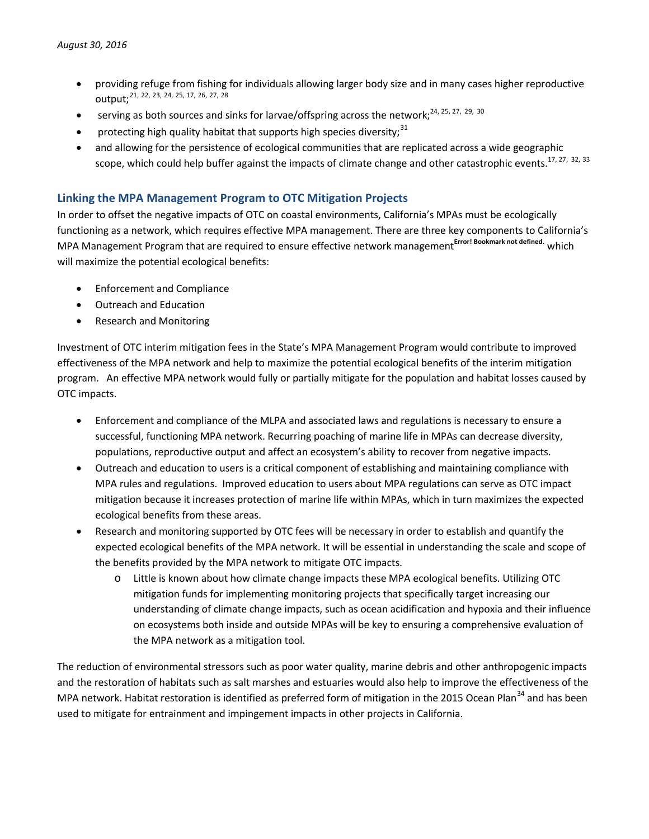- <span id="page-3-2"></span><span id="page-3-1"></span><span id="page-3-0"></span>• providing refuge from fishing for individuals allowing larger body size and in many cases higher reproductive output; [21](#page-6-12), [22](#page-6-13), [23,](#page-6-14) [24,](#page-6-15) [25,](#page-6-16) [17,](#page-2-0) [26,](#page-6-17) [27,](#page-6-18) [28](#page-6-19)
- $\bullet$  serving as both sources and sinks for larvae/offspring across the network;<sup>[24,](#page-3-0) [25,](#page-3-1) [27,](#page-3-2) [29](#page-6-20), [30](#page-6-21)</sup>
- protecting high quality habitat that supports high species diversity;<sup>[31](#page-6-22)</sup>
- and allowing for the persistence of ecological communities that are replicated across a wide geographic scope, which could help buffer against the impacts of climate change and other catastrophic events.<sup>[17,](#page-2-0) [27,](#page-3-2) [32](#page-6-23), [33](#page-6-24)</sup>

## **Linking the MPA Management Program to OTC Mitigation Projects**

In order to offset the negative impacts of OTC on coastal environments, California's MPAs must be ecologically functioning as a network, which requires effective MPA management. There are three key components to California's MPA Management Program that are required to ensure effective network management **Error! Bookmark not defined.** which will maximize the potential ecological benefits:

- Enforcement and Compliance
- Outreach and Education
- Research and Monitoring

Investment of OTC interim mitigation fees in the State's MPA Management Program would contribute to improved effectiveness of the MPA network and help to maximize the potential ecological benefits of the interim mitigation program. An effective MPA network would fully or partially mitigate for the population and habitat losses caused by OTC impacts.

- Enforcement and compliance of the MLPA and associated laws and regulations is necessary to ensure a successful, functioning MPA network. Recurring poaching of marine life in MPAs can decrease diversity, populations, reproductive output and affect an ecosystem's ability to recover from negative impacts.
- Outreach and education to users is a critical component of establishing and maintaining compliance with MPA rules and regulations. Improved education to users about MPA regulations can serve as OTC impact mitigation because it increases protection of marine life within MPAs, which in turn maximizes the expected ecological benefits from these areas.
- Research and monitoring supported by OTC fees will be necessary in order to establish and quantify the expected ecological benefits of the MPA network. It will be essential in understanding the scale and scope of the benefits provided by the MPA network to mitigate OTC impacts.
	- o Little is known about how climate change impacts these MPA ecological benefits. Utilizing OTC mitigation funds for implementing monitoring projects that specifically target increasing our understanding of climate change impacts, such as ocean acidification and hypoxia and their influence on ecosystems both inside and outside MPAs will be key to ensuring a comprehensive evaluation of the MPA network as a mitigation tool.

The reduction of environmental stressors such as poor water quality, marine debris and other anthropogenic impacts and the restoration of habitats such as salt marshes and estuaries would also help to improve the effectiveness of the MPA network. Habitat restoration is identified as preferred form of mitigation in the 2015 Ocean Plan<sup>[34](#page-6-25)</sup> and has been used to mitigate for entrainment and impingement impacts in other projects in California.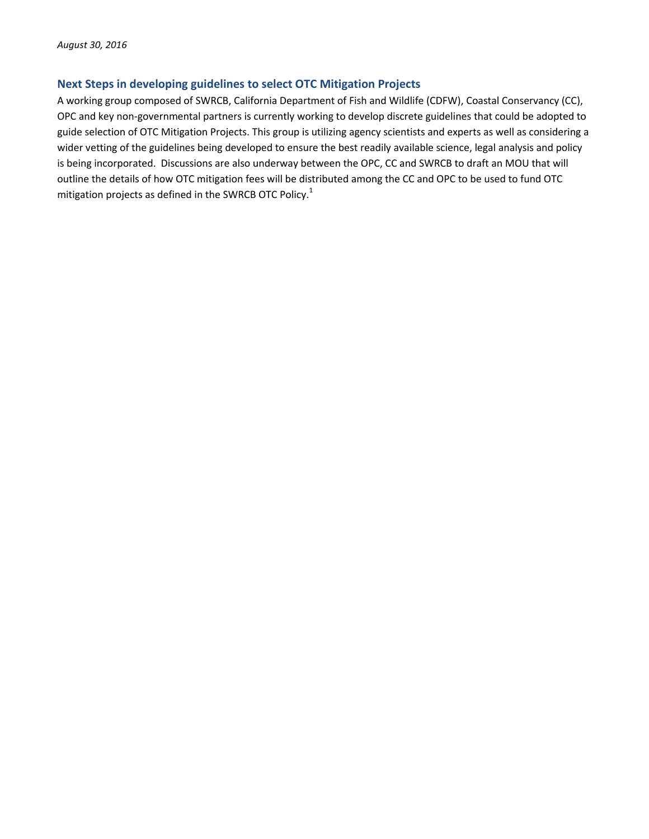# **Next Steps in developing guidelines to select OTC Mitigation Projects**

A working group composed of SWRCB, California Department of Fish and Wildlife (CDFW), Coastal Conservancy (CC), OPC and key non-governmental partners is currently working to develop discrete guidelines that could be adopted to guide selection of OTC Mitigation Projects. This group is utilizing agency scientists and experts as well as considering a wider vetting of the guidelines being developed to ensure the best readily available science, legal analysis and policy is being incorporated. Discussions are also underway between the OPC, CC and SWRCB to draft an MOU that will outline the details of how OTC mitigation fees will be distributed among the CC and OPC to be used to fund OTC mitigation projects as defined in the SWRCB OTC Polic[y.](#page-0-1)<sup>1</sup>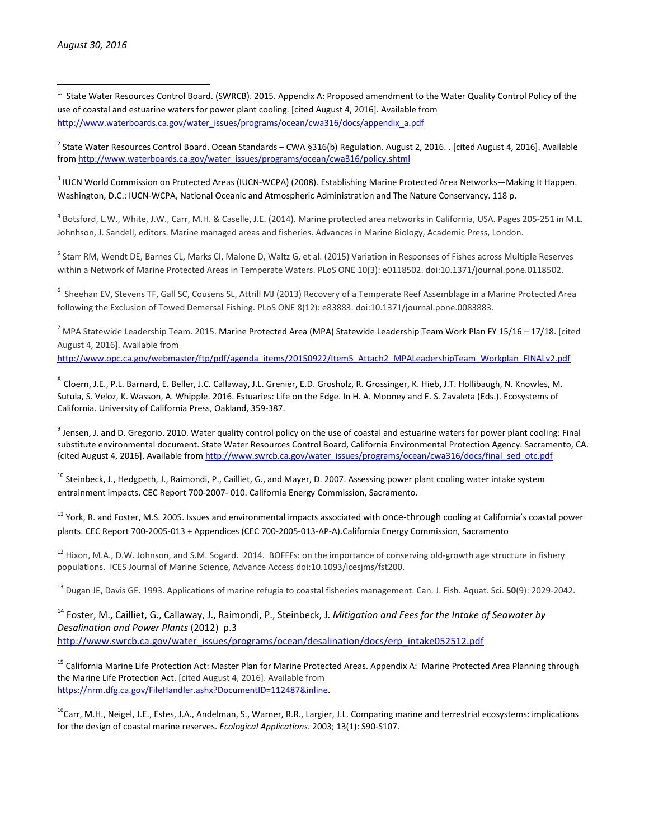<span id="page-5-0"></span> 1. State Water Resources Control Board. (SWRCB). 2015. Appendix A: Proposed amendment to the Water Quality Control Policy of the use of coastal and estuarine waters for power plant cooling. [cited August 4, 2016]. Available from [http://www.waterboards.ca.gov/water\\_issues/programs/ocean/cwa316/docs/appendix\\_a.pdf](http://www.waterboards.ca.gov/water_issues/programs/ocean/cwa316/docs/appendix_a.pdf)

<span id="page-5-1"></span> $^2$  State Water Resources Control Board. Ocean Standards – CWA §316(b) Regulation. August 2, 2016. . [cited August 4, 2016]. Available from [http://www.waterboards.ca.gov/water\\_issues/programs/ocean/cwa316/policy.shtml](http://www.waterboards.ca.gov/water_issues/programs/ocean/cwa316/policy.shtml)

<span id="page-5-2"></span><sup>3</sup> IUCN World Commission on Protected Areas (IUCN-WCPA) (2008). Establishing Marine Protected Area Networks—Making It Happen. Washington, D.C.: IUCN-WCPA, National Oceanic and Atmospheric Administration and The Nature Conservancy. 118 p.

<span id="page-5-3"></span><sup>4</sup> Botsford, L.W., White, J.W., Carr, M.H. & Caselle, J.E. (2014). Marine protected area networks in California, USA. Pages 205-251 in M.L. Johnhson, J. Sandell, editors. Marine managed areas and fisheries. Advances in Marine Biology, Academic Press, London.

<span id="page-5-4"></span><sup>5</sup> Starr RM, Wendt DE, Barnes CL, Marks CI, Malone D, Waltz G, et al. (2015) Variation in Responses of Fishes across Multiple Reserves within a Network of Marine Protected Areas in Temperate Waters. PLoS ONE 10(3): e0118502. doi:10.1371/journal.pone.0118502.

<span id="page-5-5"></span><sup>6</sup> Sheehan EV, Stevens TF, Gall SC, Cousens SL, Attrill MJ (2013) Recovery of a Temperate Reef Assemblage in a Marine Protected Area following the Exclusion of Towed Demersal Fishing. PLoS ONE 8(12): e83883. doi:10.1371/journal.pone.0083883.

<span id="page-5-6"></span> $^7$  MPA Statewide Leadership Team. 2015. Marine Protected Area (MPA) Statewide Leadership Team Work Plan FY 15/16 – 17/18. [cited August 4, 2016]. Available from

[http://www.opc.ca.gov/webmaster/ftp/pdf/agenda\\_items/20150922/Item5\\_Attach2\\_MPALeadershipTeam\\_Workplan\\_FINALv2.pdf](http://www.opc.ca.gov/webmaster/ftp/pdf/agenda_items/20150922/Item5_Attach2_MPALeadershipTeam_Workplan_FINALv2.pdf)

<span id="page-5-7"></span><sup>8</sup> Cloern, J.E., P.L. Barnard, E. Beller, J.C. Callaway, J.L. Grenier, E.D. Grosholz, R. Grossinger, K. Hieb, J.T. Hollibaugh, N. Knowles, M. Sutula, S. Veloz, K. Wasson, A. Whipple. 2016. Estuaries: Life on the Edge. In H. A. Mooney and E. S. Zavaleta (Eds.). Ecosystems of California. University of California Press, Oakland, 359-387.

 $9$  Jensen, J. and D. Gregorio. 2010. Water quality control policy on the use of coastal and estuarine waters for power plant cooling: Final substitute environmental document. State Water Resources Control Board, California Environmental Protection Agency. Sacramento, CA. {cited August 4, 2016]. Available from [http://www.swrcb.ca.gov/water\\_issues/programs/ocean/cwa316/docs/final\\_sed\\_otc.pdf](http://www.swrcb.ca.gov/water_issues/programs/ocean/cwa316/docs/final_sed_otc.pdf)

 $^{10}$  Steinbeck, J., Hedgpeth, J., Raimondi, P., Cailliet, G., and Mayer, D. 2007. Assessing power plant cooling water intake system entrainment impacts. CEC Report 700-2007- 010. California Energy Commission, Sacramento.

 $11$  York, R. and Foster, M.S. 2005. Issues and environmental impacts associated with once-through cooling at California's coastal power plants. CEC Report 700-2005-013 + Appendices (CEC 700-2005-013-AP-A).California Energy Commission, Sacramento

 $12$  Hixon, M.A., D.W. Johnson, and S.M. Sogard. 2014. BOFFFs: on the importance of conserving old-growth age structure in fishery populations. ICES Journal of Marine Science, Advance Access doi:10.1093/icesjms/fst200.

<sup>13</sup> Dugan JE, Davis GE. 1993. Applications of marine refugia to coastal fisheries management. Can. J. Fish. Aquat. Sci. **50**(9): 2029-2042.

<sup>14</sup> Foster, M., Cailliet, G., Callaway, J., Raimondi, P., Steinbeck, J. *Mitigation and Fees for the Intake of Seawater by Desalination and Power Plants* (2012) p.3 [http://www.swrcb.ca.gov/water\\_issues/programs/ocean/desalination/docs/erp\\_intake052512.pdf](http://www.swrcb.ca.gov/water_issues/programs/ocean/desalination/docs/erp_intake052512.pdf)

<sup>15</sup> California Marine Life Protection Act: Master Plan for Marine Protected Areas. Appendix A: Marine Protected Area Planning through the Marine Life Protection Act. [cited August 4, 2016]. Available from [https://nrm.dfg.ca.gov/FileHandler.ashx?DocumentID=112487&inline.](https://nrm.dfg.ca.gov/FileHandler.ashx?DocumentID=112487&inline)

<sup>16</sup>Carr, M.H., Neigel, J.E., Estes, J.A., Andelman, S., Warner, R.R., Largier, J.L. Comparing marine and terrestrial ecosystems: implications for the design of coastal marine reserves. *Ecological Applications*. 2003; 13(1): S90-S107.